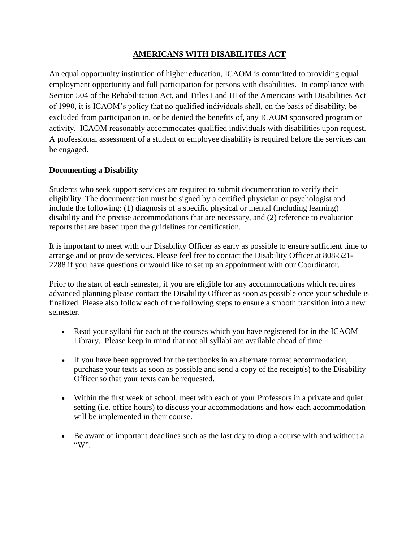### **AMERICANS WITH DISABILITIES ACT**

An equal opportunity institution of higher education, ICAOM is committed to providing equal employment opportunity and full participation for persons with disabilities. In compliance with Section 504 of the Rehabilitation Act, and Titles I and III of the Americans with Disabilities Act of 1990, it is ICAOM's policy that no qualified individuals shall, on the basis of disability, be excluded from participation in, or be denied the benefits of, any ICAOM sponsored program or activity. ICAOM reasonably accommodates qualified individuals with disabilities upon request. A professional assessment of a student or employee disability is required before the services can be engaged.

### **Documenting a Disability**

Students who seek support services are required to submit documentation to verify their eligibility. The documentation must be signed by a certified physician or psychologist and include the following: (1) diagnosis of a specific physical or mental (including learning) disability and the precise accommodations that are necessary, and (2) reference to evaluation reports that are based upon the guidelines for certification.

It is important to meet with our Disability Officer as early as possible to ensure sufficient time to arrange and or provide services. Please feel free to contact the Disability Officer at 808-521- 2288 if you have questions or would like to set up an appointment with our Coordinator.

Prior to the start of each semester, if you are eligible for any accommodations which requires advanced planning please contact the Disability Officer as soon as possible once your schedule is finalized. Please also follow each of the following steps to ensure a smooth transition into a new semester.

- Read your syllabi for each of the courses which you have registered for in the ICAOM Library. Please keep in mind that not all syllabi are available ahead of time.
- If you have been approved for the textbooks in an alternate format accommodation, purchase your texts as soon as possible and send a copy of the receipt(s) to the Disability Officer so that your texts can be requested.
- Within the first week of school, meet with each of your Professors in a private and quiet setting (i.e. office hours) to discuss your accommodations and how each accommodation will be implemented in their course.
- Be aware of important deadlines such as the last day to drop a course with and without a " $W$ ".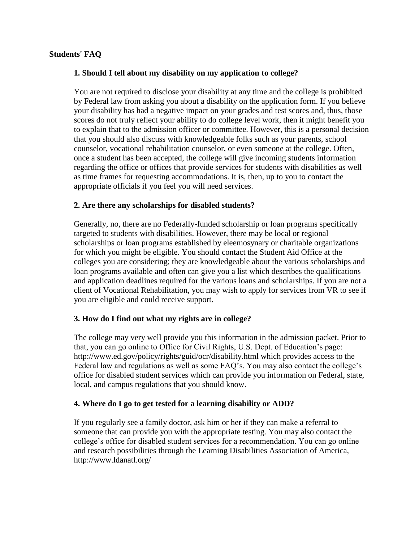#### **Students' FAQ**

#### **1. Should I tell about my disability on my application to college?**

You are not required to disclose your disability at any time and the college is prohibited by Federal law from asking you about a disability on the application form. If you believe your disability has had a negative impact on your grades and test scores and, thus, those scores do not truly reflect your ability to do college level work, then it might benefit you to explain that to the admission officer or committee. However, this is a personal decision that you should also discuss with knowledgeable folks such as your parents, school counselor, vocational rehabilitation counselor, or even someone at the college. Often, once a student has been accepted, the college will give incoming students information regarding the office or offices that provide services for students with disabilities as well as time frames for requesting accommodations. It is, then, up to you to contact the appropriate officials if you feel you will need services.

#### **2. Are there any scholarships for disabled students?**

Generally, no, there are no Federally-funded scholarship or loan programs specifically targeted to students with disabilities. However, there may be local or regional scholarships or loan programs established by eleemosynary or charitable organizations for which you might be eligible. You should contact the Student Aid Office at the colleges you are considering; they are knowledgeable about the various scholarships and loan programs available and often can give you a list which describes the qualifications and application deadlines required for the various loans and scholarships. If you are not a client of Vocational Rehabilitation, you may wish to apply for services from VR to see if you are eligible and could receive support.

#### **3. How do I find out what my rights are in college?**

The college may very well provide you this information in the admission packet. Prior to that, you can go online to Office for Civil Rights, U.S. Dept. of Education's page: http://www.ed.gov/policy/rights/guid/ocr/disability.html which provides access to the Federal law and regulations as well as some FAQ's. You may also contact the college's office for disabled student services which can provide you information on Federal, state, local, and campus regulations that you should know.

#### **4. Where do I go to get tested for a learning disability or ADD?**

If you regularly see a family doctor, ask him or her if they can make a referral to someone that can provide you with the appropriate testing. You may also contact the college's office for disabled student services for a recommendation. You can go online and research possibilities through the Learning Disabilities Association of America, http://www.ldanatl.org/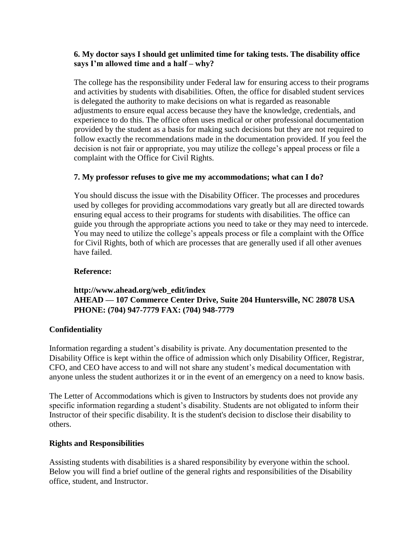#### **6. My doctor says I should get unlimited time for taking tests. The disability office says I'm allowed time and a half – why?**

The college has the responsibility under Federal law for ensuring access to their programs and activities by students with disabilities. Often, the office for disabled student services is delegated the authority to make decisions on what is regarded as reasonable adjustments to ensure equal access because they have the knowledge, credentials, and experience to do this. The office often uses medical or other professional documentation provided by the student as a basis for making such decisions but they are not required to follow exactly the recommendations made in the documentation provided. If you feel the decision is not fair or appropriate, you may utilize the college's appeal process or file a complaint with the Office for Civil Rights.

### **7. My professor refuses to give me my accommodations; what can I do?**

You should discuss the issue with the Disability Officer. The processes and procedures used by colleges for providing accommodations vary greatly but all are directed towards ensuring equal access to their programs for students with disabilities. The office can guide you through the appropriate actions you need to take or they may need to intercede. You may need to utilize the college's appeals process or file a complaint with the Office for Civil Rights, both of which are processes that are generally used if all other avenues have failed.

### **Reference:**

## **http://www.ahead.org/web\_edit/index AHEAD — 107 Commerce Center Drive, Suite 204 Huntersville, NC 28078 USA PHONE: (704) 947-7779 FAX: (704) 948-7779**

### **Confidentiality**

Information regarding a student's disability is private. Any documentation presented to the Disability Office is kept within the office of admission which only Disability Officer, Registrar, CFO, and CEO have access to and will not share any student's medical documentation with anyone unless the student authorizes it or in the event of an emergency on a need to know basis.

The Letter of Accommodations which is given to Instructors by students does not provide any specific information regarding a student's disability. Students are not obligated to inform their Instructor of their specific disability. It is the student's decision to disclose their disability to others.

### **Rights and Responsibilities**

Assisting students with disabilities is a shared responsibility by everyone within the school. Below you will find a brief outline of the general rights and responsibilities of the Disability office, student, and Instructor.